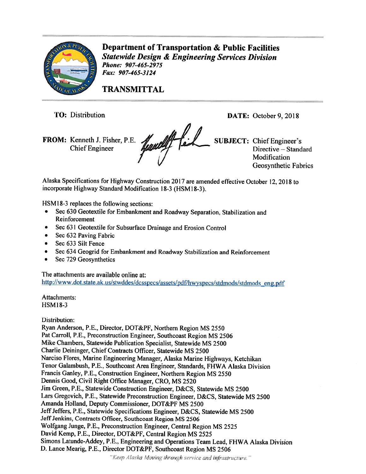

Department of Transportation & Public Facilities Statewide Design & Engineering Services Division Phone: 907-465-2975 fax: 907-465-3124

TRANSMITTAL

TO: Distribution

FROM: Kenneth J. Fisher, P.E. **Here als SUBJECT:** Chief Engineer's Chief Engineer's Chamberle Contras SUBJECT: Chief Engineer's

DATE: October 9, 2018

Modification Geosynthetic Fabrics

Alaska Specifications for Highway Construction <sup>2017</sup> are amended effective October 12, 201\$ to incorporate Highway Standard Modification 18-3 (HSM18-3).

HSM18-3 replaces the following sections:

- Sec <sup>630</sup> Geotextile for Embankment and Roadway Separation, Stabilization and Reinforcement
- •Sec 631 Geotextile for Subsurface Drainage and Erosion Control
- Sec 632 Paving Fabric
- •Sec 633 Silt Fence
- •Sec 634 Geogrid fot Embankment and Roadway Stabilization and Reinforcement
- •Sec 729 Geosynthetics

The attachments are available online at: http://www.dot.state.ak.us/stwddes/dcsspecs/assets/pdf/hwyspecs/stdmods/stdmods eng.pdf

Attachments: HSMI8-3

Distribution:

Ryan Anderson, P.E., Director, DOT&PF, Northern Region MS <sup>2550</sup> Pat Carroll, P.E., Preconstruction Engineer, Southcoast Region MS 2506 Mike Chambers, Statewide Publication Specialist, Statewide MS 2500 Charlie Deininger, Chief Contracts Officer, Statewide MS 2500 Narciso Flores, Marine Engineering Manager, Alaska Marine Highways, Ketchikan Tenor Galambush, P.E., Southcoast Area Engineer, Standards, FHWA Alaska Division Francis Ganley, P.E., Construction Engineer, Northern Region MS <sup>2550</sup> Dennis Good, Civil Right Office Manager, CR0, MS 2520 Jim Green, P.E., Statewide Construction Engineer, D&CS, Statewide MS 2500 Ears Gregovich, P.E., Statewide Preconstruction Engineer. D&CS, Statewide MS <sup>2500</sup> Amanda Holland, Deputy Commissioner, DOT&PF MS 2500 Jeff Jeffers, P.E., Statewide Specifications Engineer, D&CS, Statewide MS 2500 Jeff Jenkins, Contracts Officer, Southcoast Region MS 2506 Wolfgang Junge, P.E., Preconstruction Engineer, Central Region MS <sup>2525</sup> David Kemp, P.E., Director, DOT&PF, Central Region MS <sup>2525</sup> Simons Latunde-Addey, P.E., Engineering and Operations Team Lead, FHWA Alaska Division D. Lance Mearig, P.E., Director DOT&PF, Southcoast Region MS 2506

"Keep Alaska Moving through service and infrastructure."